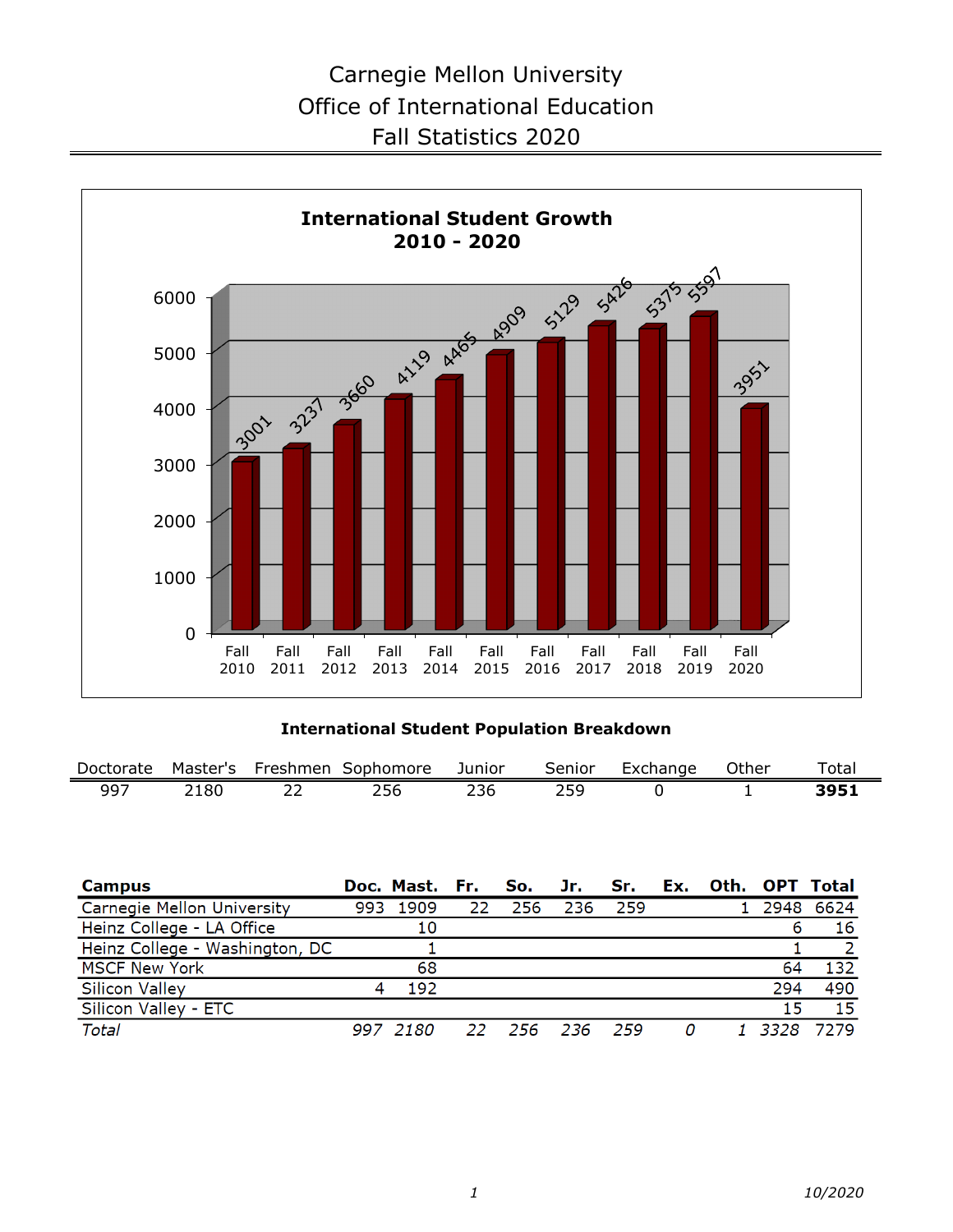

**International Student Population Breakdown**

| Doctorate                  | Master's | Freshmen Sophomore             |     |            | Junior |     | Senior |     | Exchange | Other |      | Total            |
|----------------------------|----------|--------------------------------|-----|------------|--------|-----|--------|-----|----------|-------|------|------------------|
| 997                        | 2180     | 22                             | 256 |            | 236    |     | 259    |     | 0        |       |      | 3951             |
|                            |          |                                |     |            |        |     |        |     |          |       |      |                  |
|                            |          |                                |     |            |        |     |        |     |          |       |      |                  |
|                            |          |                                |     |            |        |     |        |     |          |       |      |                  |
| <b>Campus</b>              |          |                                |     | Doc. Mast. | Fr.    | So. | Jr.    | Sr. | Ex.      | Oth.  |      | <b>OPT Total</b> |
|                            |          |                                |     |            |        |     |        |     |          |       |      |                  |
| Carnegie Mellon University |          |                                | 993 | 1909       | 22     | 256 | 236    | 259 |          |       | 2948 | 6624             |
| Heinz College - LA Office  |          |                                |     | 10         |        |     |        |     |          |       | 6    | 16               |
|                            |          | Heinz College - Washington, DC |     |            |        |     |        |     |          |       |      |                  |
| <b>MSCF New York</b>       |          |                                |     | 68         |        |     |        |     |          |       | 64   | 132              |
| Silicon Valley             |          |                                | 4   | 192        |        |     |        |     |          |       | 294  | 490              |
| Silicon Valley - ETC       |          |                                |     |            |        |     |        |     |          |       | 15   | 15               |
| Total                      |          |                                |     | 997 2180   | 22     | 256 | 236    | 259 | 0        |       | 3328 | 7279             |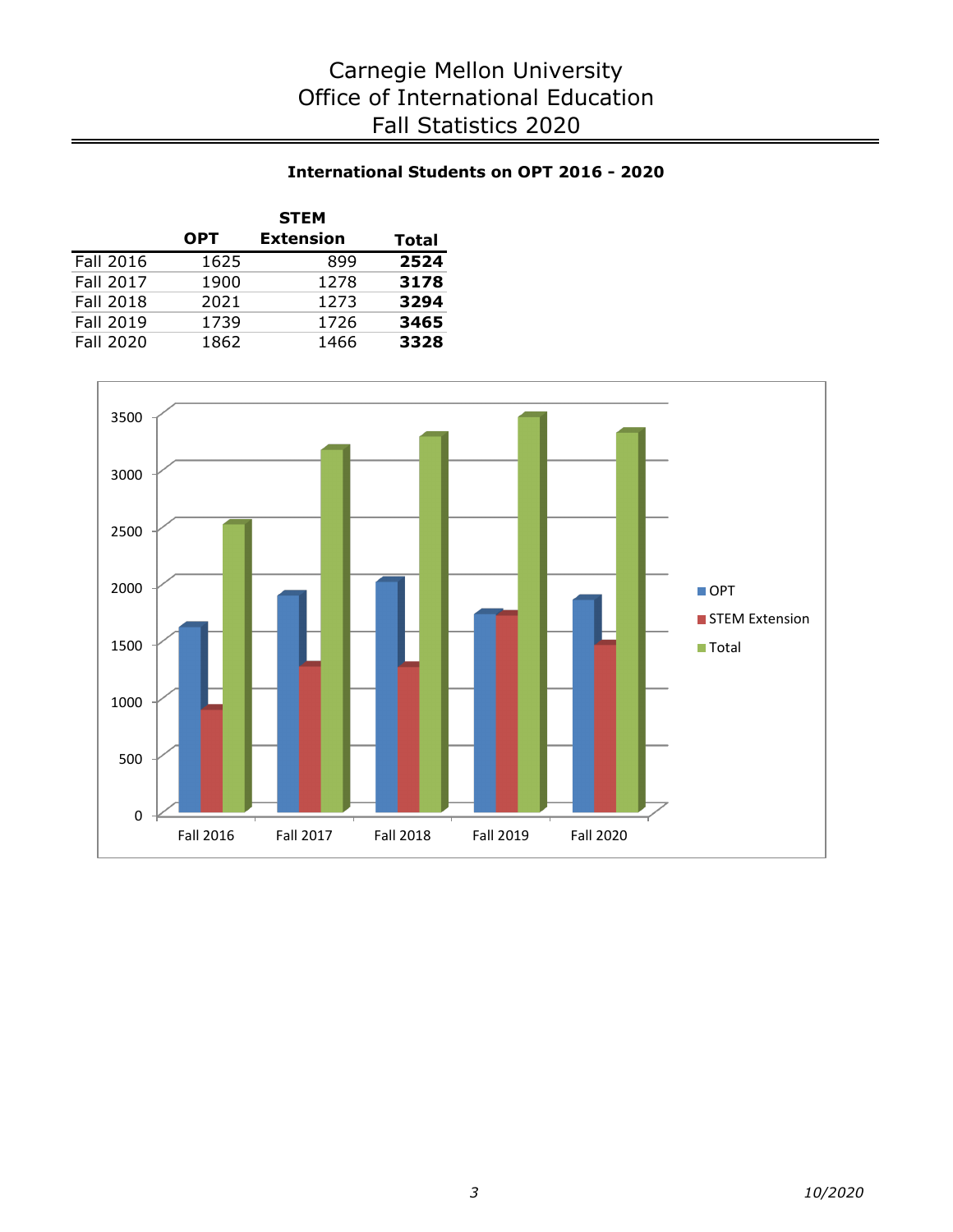### **International Students on OPT 2016 - 2020**

|                  |            | <b>STEM</b>      |       |
|------------------|------------|------------------|-------|
|                  | <b>OPT</b> | <b>Extension</b> | Total |
| <b>Fall 2016</b> | 1625       | 899              | 2524  |
| <b>Fall 2017</b> | 1900       | 1278             | 3178  |
| <b>Fall 2018</b> | 2021       | 1273             | 3294  |
| <b>Fall 2019</b> | 1739       | 1726             | 3465  |
| Fall 2020        | 1862       | 1466             | 3328  |

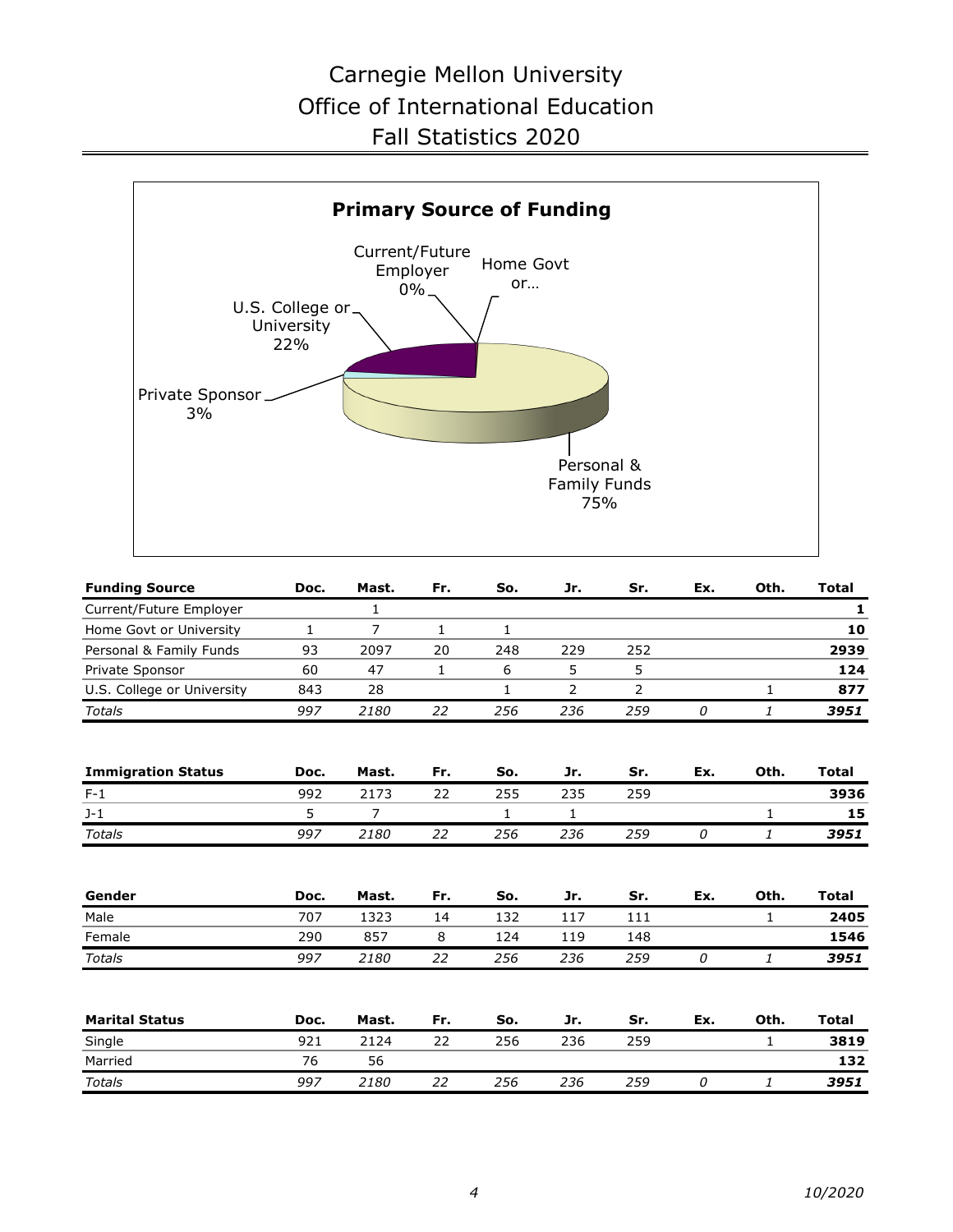

| <b>Funding Source</b>      | Doc.         | Mast.          | Fr. | So. | Jr. | Sr. | Ex. | Oth.         | <b>Total</b> |
|----------------------------|--------------|----------------|-----|-----|-----|-----|-----|--------------|--------------|
| Current/Future Employer    |              | 1              |     |     |     |     |     |              | 1            |
| Home Govt or University    | $\mathbf{1}$ | $\overline{7}$ | 1   | 1   |     |     |     |              | 10           |
| Personal & Family Funds    | 93           | 2097           | 20  | 248 | 229 | 252 |     |              | 2939         |
| Private Sponsor            | 60           | 47             | 1   | 6   | 5   | 5   |     |              | 124          |
| U.S. College or University | 843          | 28             |     | 1   | 2   | 2   |     | $\mathbf{1}$ | 877          |
| Totals                     | 997          | 2180           | 22  | 256 | 236 | 259 | 0   | 1            | 3951         |
| <b>Immigration Status</b>  | Doc.         | Mast.          | Fr. | So. | Jr. | Sr. | Ex. | Oth.         | <b>Total</b> |
| $F-1$                      | 992          | 2173           | 22  | 255 | 235 | 259 |     |              | 3936         |
| $J-1$                      | 5            | 7              |     | 1   | 1   |     |     | 1            | 15           |
| <b>Totals</b>              | 997          | 2180           | 22  | 256 | 236 | 259 | 0   | 1            | 3951         |
|                            |              |                |     |     |     |     |     |              |              |
| Gender                     | Doc.         | Mast.          | Fr. | So. | Jr. | Sr. | Ex. | Oth.         | <b>Total</b> |
| Male                       | 707          | 1323           | 14  | 132 | 117 | 111 |     | $\mathbf{1}$ | 2405         |
| Female                     | 290          | 857            | 8   | 124 | 119 | 148 |     |              | 1546         |
| <b>Totals</b>              | 997          | 2180           | 22  | 256 | 236 | 259 | 0   | 1            | 3951         |
| <b>Marital Status</b>      | Doc.         | Mast.          | Fr. | So. | Jr. | Sr. | Ex. | Oth.         | <b>Total</b> |
| Single                     | 921          | 2124           | 22  | 256 | 236 | 259 |     | $\mathbf{1}$ | 3819         |
| Married                    | 76           | 56             |     |     |     |     |     |              | 132          |
| Totals                     | 997          | 2180           | 22  | 256 | 236 | 259 | 0   | 1            | 3951         |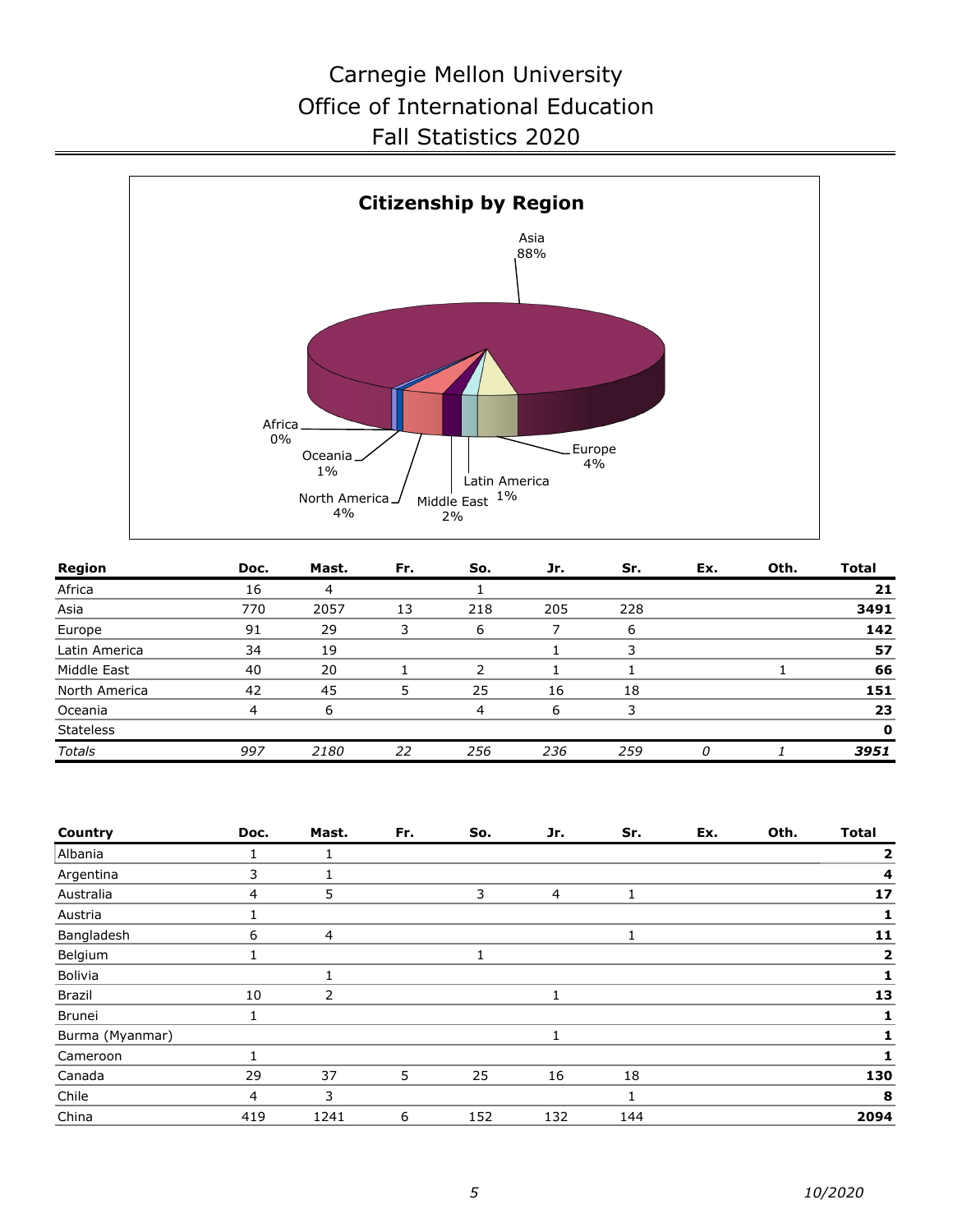

| Region           | Doc. | Mast. | Fr. | So. | Jr. | Sr. | Ex. | Oth. | Total        |
|------------------|------|-------|-----|-----|-----|-----|-----|------|--------------|
| Africa           | 16   | 4     |     |     |     |     |     |      | 21           |
| Asia             | 770  | 2057  | 13  | 218 | 205 | 228 |     |      | 3491         |
| Europe           | 91   | 29    | 3   | 6   |     | 6   |     |      | 142          |
| Latin America    | 34   | 19    |     |     |     |     |     |      | 57           |
| Middle East      | 40   | 20    |     |     |     |     |     |      | 66           |
| North America    | 42   | 45    |     | 25  | 16  | 18  |     |      | 151          |
| Oceania          | 4    | 6     |     | 4   | 6   | 3   |     |      | 23           |
| <b>Stateless</b> |      |       |     |     |     |     |     |      | $\mathbf{o}$ |
| <b>Totals</b>    | 997  | 2180  | 22  | 256 | 236 | 259 | 0   |      | 3951         |

| Country         | Doc. | Mast. | Fr. | So. | Jr.            | Sr. | Ex. | Oth. | <b>Total</b>   |
|-----------------|------|-------|-----|-----|----------------|-----|-----|------|----------------|
| Albania         |      |       |     |     |                |     |     |      | 2              |
| Argentina       | 3    |       |     |     |                |     |     |      | $\overline{4}$ |
| Australia       | 4    | 5     |     | 3   | $\overline{4}$ |     |     |      | 17             |
| Austria         |      |       |     |     |                |     |     |      |                |
| Bangladesh      | 6    | 4     |     |     |                |     |     |      | 11             |
| Belgium         |      |       |     |     |                |     |     |      | 2              |
| Bolivia         |      |       |     |     |                |     |     |      |                |
| Brazil          | 10   | 2     |     |     |                |     |     |      | 13             |
| Brunei          |      |       |     |     |                |     |     |      |                |
| Burma (Myanmar) |      |       |     |     | 1              |     |     |      |                |
| Cameroon        |      |       |     |     |                |     |     |      |                |
| Canada          | 29   | 37    | 5   | 25  | 16             | 18  |     |      | 130            |
| Chile           | 4    | 3     |     |     |                |     |     |      | 8              |
| China           | 419  | 1241  | 6   | 152 | 132            | 144 |     |      | 2094           |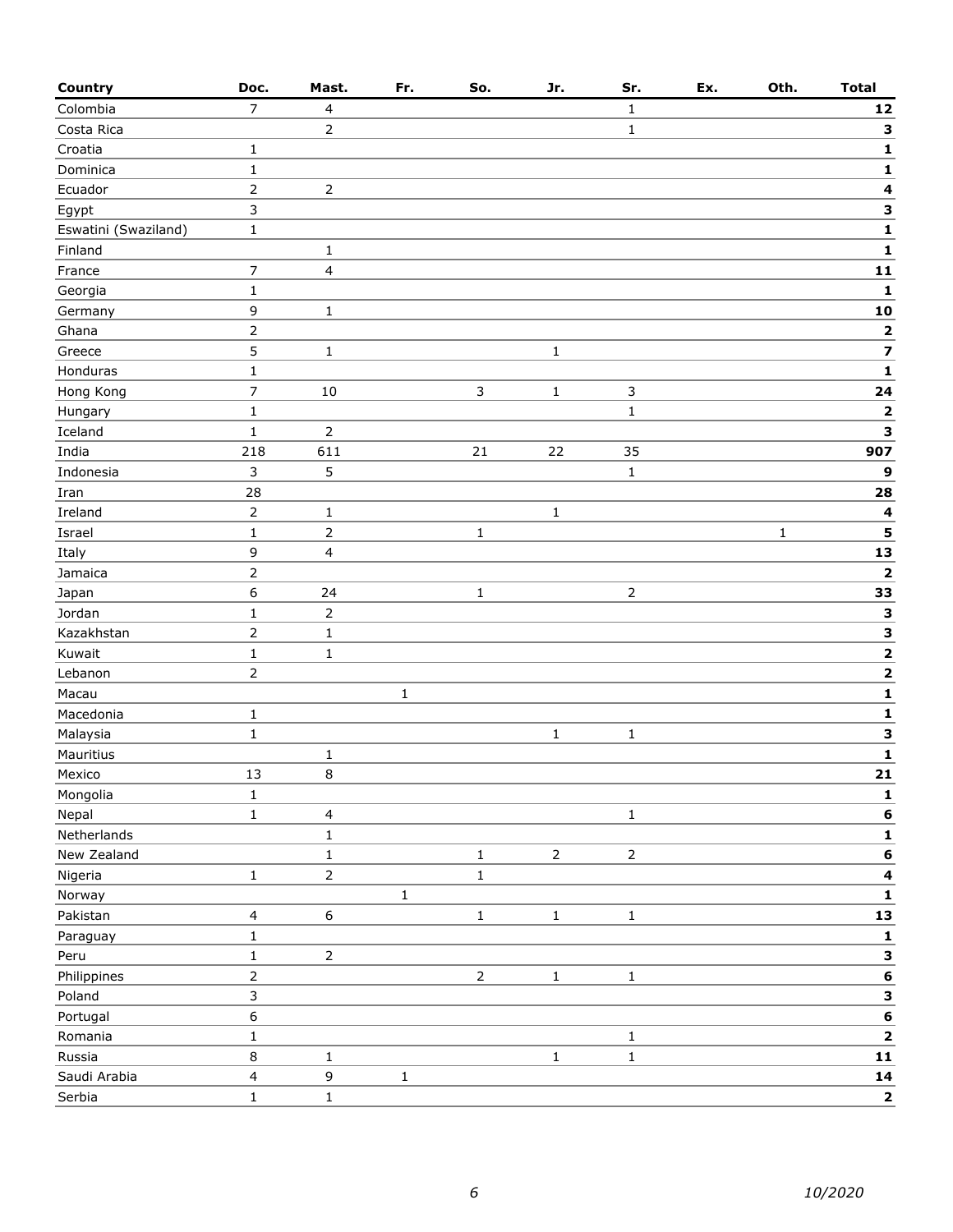| <b>Country</b>       | Doc.                     | Mast.          | Fr.         | So.          | Jr.            | Sr.            | Ex. | Oth.         | <b>Total</b>            |
|----------------------|--------------------------|----------------|-------------|--------------|----------------|----------------|-----|--------------|-------------------------|
| Colombia             | $\overline{7}$           | 4              |             |              |                | $\mathbf{1}$   |     |              | ${\bf 12}$              |
| Costa Rica           |                          | 2              |             |              |                | $\mathbf{1}$   |     |              | 3                       |
| Croatia              | $\mathbf{1}$             |                |             |              |                |                |     |              | 1                       |
| Dominica             | $\mathbf 1$              |                |             |              |                |                |     |              | $\mathbf 1$             |
| Ecuador              | $\mathsf{2}\,$           | $\overline{2}$ |             |              |                |                |     |              | 4                       |
| Egypt                | 3                        |                |             |              |                |                |     |              | 3                       |
| Eswatini (Swaziland) | $\mathbf 1$              |                |             |              |                |                |     |              | $\mathbf 1$             |
| Finland              |                          | $\mathbf 1$    |             |              |                |                |     |              | 1                       |
| France               | $\overline{7}$           | 4              |             |              |                |                |     |              | 11                      |
| Georgia              | $\mathbf 1$              |                |             |              |                |                |     |              | 1                       |
| Germany              | 9                        | $\mathbf{1}$   |             |              |                |                |     |              | 10                      |
| Ghana                | $\mathsf{2}$             |                |             |              |                |                |     |              | 2                       |
| Greece               | 5                        | $\mathbf 1$    |             |              | $\mathbf 1$    |                |     |              | $\overline{\mathbf{z}}$ |
| Honduras             | $\mathbf 1$              |                |             |              |                |                |     |              | $\mathbf 1$             |
| Hong Kong            | $\overline{7}$           | 10             |             | 3            | $\mathbf 1$    | 3              |     |              | 24                      |
| Hungary              | $\mathbf{1}$             |                |             |              |                | $\mathbf 1$    |     |              | 2                       |
| Iceland              | $\mathbf 1$              | $\overline{2}$ |             |              |                |                |     |              | 3                       |
| India                | 218                      | 611            |             | $21\,$       | 22             | 35             |     |              | 907                     |
| Indonesia            | $\overline{3}$           | 5              |             |              |                | $\mathbf 1$    |     |              | 9                       |
| Iran                 | 28                       |                |             |              |                |                |     |              | 28                      |
| Ireland              | $\overline{2}$           | $\mathbf{1}$   |             |              | $\mathbf 1$    |                |     |              | $\overline{\mathbf{4}}$ |
| Israel               | $\mathbf 1$              | 2              |             | $\mathbf{1}$ |                |                |     | $\mathbf{1}$ | 5                       |
| Italy                | 9                        | 4              |             |              |                |                |     |              | 13                      |
| Jamaica              | $\overline{2}$           |                |             |              |                |                |     |              | 2                       |
| Japan                | $\boldsymbol{6}$         | 24             |             | $\mathbf{1}$ |                | $\overline{2}$ |     |              | 33                      |
| Jordan               | $\mathbf 1$              | $\overline{2}$ |             |              |                |                |     |              | 3                       |
| Kazakhstan           | $\overline{2}$           | $\mathbf{1}$   |             |              |                |                |     |              | $\overline{\mathbf{3}}$ |
| Kuwait               | $\mathbf 1$              | $\mathbf{1}$   |             |              |                |                |     |              | $\mathbf{2}$            |
| Lebanon              | $\mathsf{2}\,$           |                |             |              |                |                |     |              | $\mathbf{2}$            |
| Macau                |                          |                | $\mathbf 1$ |              |                |                |     |              | 1                       |
| Macedonia            | $\mathbf 1$              |                |             |              |                |                |     |              | 1                       |
| Malaysia             | $\mathbf 1$              |                |             |              | $\mathbf 1$    | $\mathbf{1}$   |     |              | 3                       |
| Mauritius            |                          | $\mathbf 1$    |             |              |                |                |     |              | $\mathbf{1}$            |
| Mexico               | 13                       | 8              |             |              |                |                |     |              | 21                      |
| Mongolia             | $\mathbf 1$              |                |             |              |                |                |     |              | 1                       |
| Nepal                | $\mathbf 1$              | 4              |             |              |                | $\mathbf 1$    |     |              | $\bf 6$                 |
| Netherlands          |                          | $\mathbf 1$    |             |              |                |                |     |              | 1                       |
| New Zealand          |                          | $\mathbf 1$    |             | $\mathbf 1$  | $\overline{2}$ | $\overline{2}$ |     |              | $\bf 6$                 |
| Nigeria              | $\mathbf 1$              | $\overline{2}$ |             | $\mathbf 1$  |                |                |     |              | 4                       |
| Norway               |                          |                | $\mathbf 1$ |              |                |                |     |              | 1                       |
| Pakistan             | $\overline{4}$           | 6              |             | $\mathbf 1$  | $\mathbf 1$    | $\mathbf 1$    |     |              | 13                      |
| Paraguay             | $\mathbf 1$              |                |             |              |                |                |     |              | 1                       |
| Peru                 | $\mathbf 1$              | $\overline{2}$ |             |              |                |                |     |              | 3                       |
| Philippines          | $\overline{2}$           |                |             | $\mathsf{2}$ | $\mathbf 1$    | $\mathbf 1$    |     |              | 6                       |
| Poland               | $\mathsf{3}$             |                |             |              |                |                |     |              | 3                       |
| Portugal             | 6                        |                |             |              |                |                |     |              | $\bf 6$                 |
| Romania              | $\mathbf{1}$             |                |             |              |                | $\mathbf{1}$   |     |              | $\mathbf{2}$            |
| Russia               | 8                        | $\mathbf{1}$   |             |              | $\mathbf 1$    | $\mathbf 1$    |     |              | 11                      |
| Saudi Arabia         | $\overline{\mathcal{L}}$ | 9              | $\mathbf 1$ |              |                |                |     |              | 14                      |
| Serbia               | $\mathbf 1$              | $\mathbf 1$    |             |              |                |                |     |              | $\mathbf{2}$            |
|                      |                          |                |             |              |                |                |     |              |                         |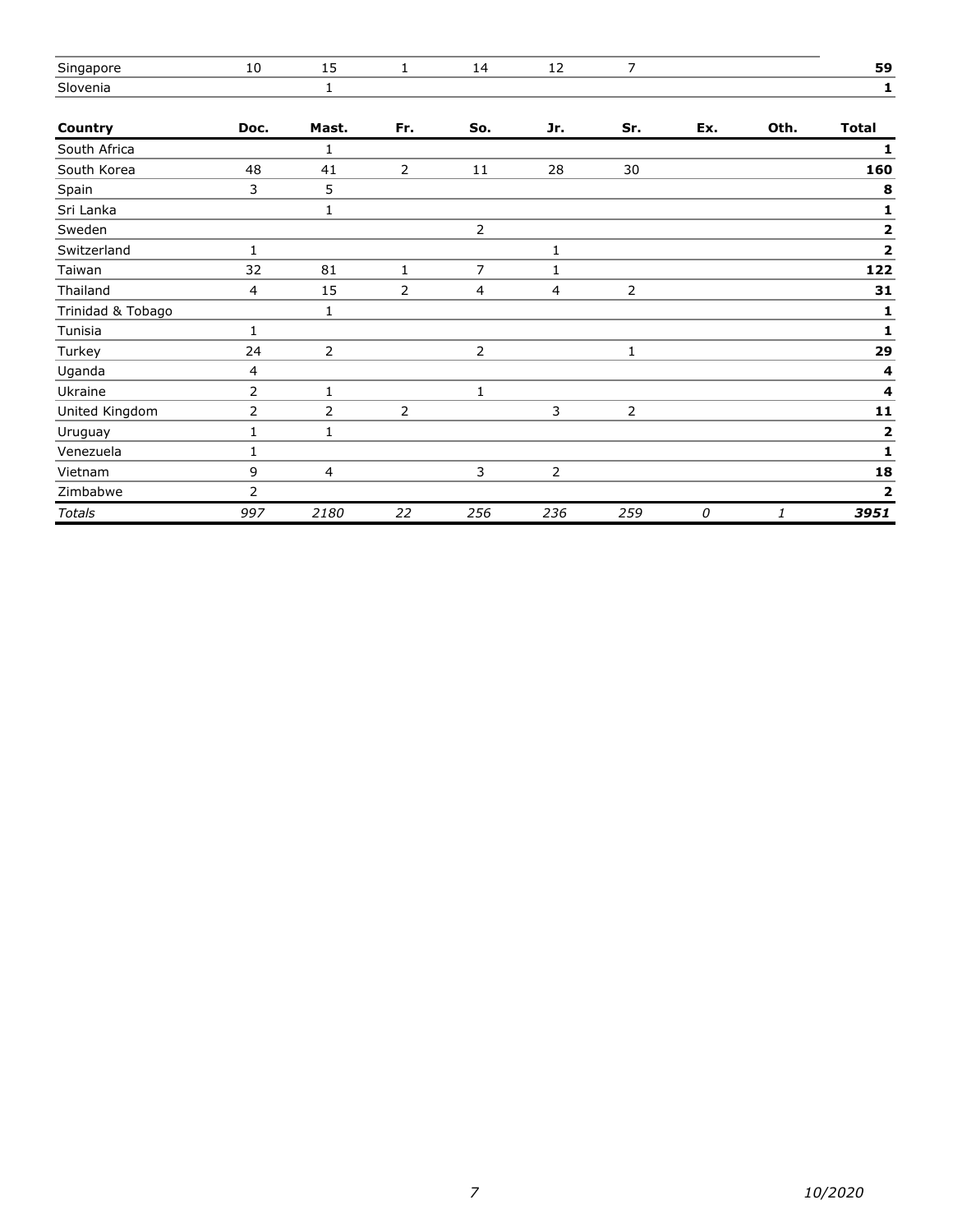| Singapore         | 10             | 15             | 1              | 14             | 12           | 7              |     |      | 59                      |
|-------------------|----------------|----------------|----------------|----------------|--------------|----------------|-----|------|-------------------------|
| Slovenia          |                | $\mathbf{1}$   |                |                |              |                |     |      | 1                       |
| Country           | Doc.           | Mast.          | Fr.            | So.            | Jr.          | Sr.            | Ex. | Oth. | <b>Total</b>            |
| South Africa      |                | 1              |                |                |              |                |     |      | 1                       |
| South Korea       | 48             | 41             | 2              | 11             | 28           | 30             |     |      | 160                     |
| Spain             | 3              | 5              |                |                |              |                |     |      | 8                       |
| Sri Lanka         |                | $\mathbf{1}$   |                |                |              |                |     |      | 1                       |
| Sweden            |                |                |                | $\overline{2}$ |              |                |     |      | 2                       |
| Switzerland       | $\mathbf{1}$   |                |                |                | $\mathbf{1}$ |                |     |      | 2                       |
| Taiwan            | 32             | 81             | $\mathbf{1}$   | $\overline{7}$ | $\mathbf{1}$ |                |     |      | 122                     |
| Thailand          | $\overline{4}$ | 15             | 2              | 4              | 4            | $\overline{2}$ |     |      | 31                      |
| Trinidad & Tobago |                | 1              |                |                |              |                |     |      | 1                       |
| Tunisia           | 1              |                |                |                |              |                |     |      | 1                       |
| Turkey            | 24             | 2              |                | $\overline{2}$ |              | $\mathbf{1}$   |     |      | 29                      |
| Uganda            | 4              |                |                |                |              |                |     |      | 4                       |
| Ukraine           | 2              | 1              |                | 1              |              |                |     |      | $\overline{\mathbf{4}}$ |
| United Kingdom    | 2              | $\overline{2}$ | $\overline{2}$ |                | 3            | $\overline{2}$ |     |      | 11                      |
| Uruguay           | 1              | 1              |                |                |              |                |     |      | 2                       |
| Venezuela         | $\mathbf{1}$   |                |                |                |              |                |     |      | 1                       |
| Vietnam           | 9              | 4              |                | 3              | 2            |                |     |      | 18                      |
| Zimbabwe          | 2              |                |                |                |              |                |     |      | 2                       |
| <b>Totals</b>     | 997            | 2180           | 22             | 256            | 236          | 259            | 0   | 1    | 3951                    |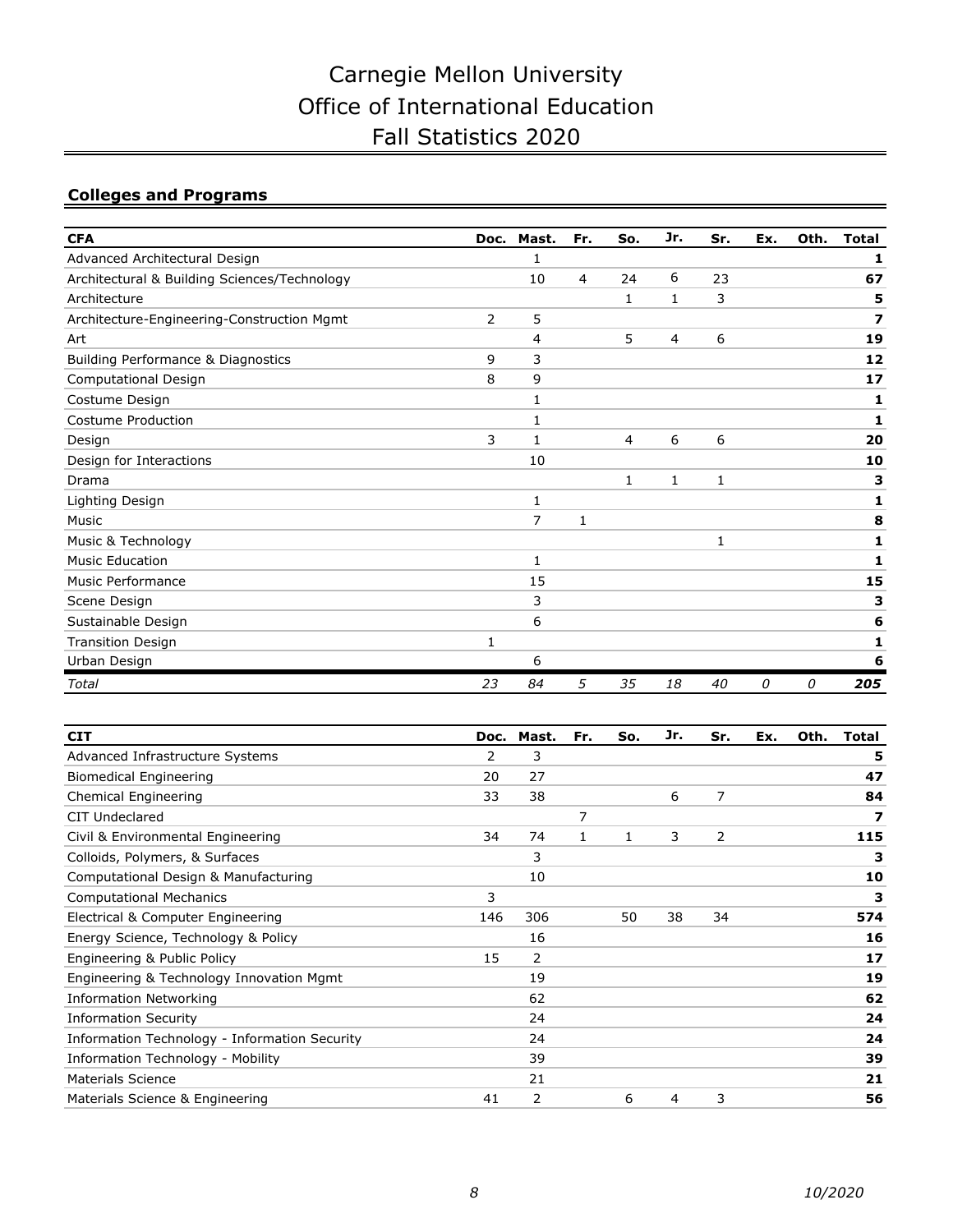### **Colleges and Programs**

| <b>CFA</b>                                   | Doc. | Mast.          | Fr. | So.          | Jr.          | Sr. | Ex. | Oth. | <b>Total</b> |
|----------------------------------------------|------|----------------|-----|--------------|--------------|-----|-----|------|--------------|
| Advanced Architectural Design                |      | 1              |     |              |              |     |     |      | 1            |
| Architectural & Building Sciences/Technology |      | 10             | 4   | 24           | 6            | 23  |     |      | 67           |
| Architecture                                 |      |                |     | $\mathbf{1}$ | $\mathbf{1}$ | 3   |     |      | 5            |
| Architecture-Engineering-Construction Mgmt   | 2    | 5              |     |              |              |     |     |      | 7            |
| Art                                          |      | 4              |     | 5            | 4            | 6   |     |      | 19           |
| Building Performance & Diagnostics           | 9    | 3              |     |              |              |     |     |      | 12           |
| <b>Computational Design</b>                  | 8    | 9              |     |              |              |     |     |      | 17           |
| Costume Design                               |      | 1              |     |              |              |     |     |      | 1            |
| Costume Production                           |      | 1              |     |              |              |     |     |      | 1            |
| Design                                       | 3    | 1              |     | 4            | 6            | 6   |     |      | 20           |
| Design for Interactions                      |      | 10             |     |              |              |     |     |      | 10           |
| Drama                                        |      |                |     | $\mathbf{1}$ | $\mathbf{1}$ | 1   |     |      | 3            |
| Lighting Design                              |      | $\mathbf{1}$   |     |              |              |     |     |      | 1            |
| Music                                        |      | $\overline{7}$ | 1   |              |              |     |     |      | 8            |
| Music & Technology                           |      |                |     |              |              | 1   |     |      | 1            |
| <b>Music Education</b>                       |      | 1              |     |              |              |     |     |      | 1            |
| <b>Music Performance</b>                     |      | 15             |     |              |              |     |     |      | 15           |
| Scene Design                                 |      | 3              |     |              |              |     |     |      | з            |
| Sustainable Design                           |      | 6              |     |              |              |     |     |      | 6            |
| <b>Transition Design</b>                     | 1    |                |     |              |              |     |     |      | 1            |
| Urban Design                                 |      | 6              |     |              |              |     |     |      | 6            |
| Total                                        | 23   | 84             | 5   | 35           | 18           | 40  | 0   | 0    | 205          |

| <b>CIT</b>                                    | Doc. | Mast. | Fr. | So. | Jr. | Sr. | Ex. | Oth. | Total |
|-----------------------------------------------|------|-------|-----|-----|-----|-----|-----|------|-------|
| Advanced Infrastructure Systems               | 2    | 3     |     |     |     |     |     |      | 5     |
| <b>Biomedical Engineering</b>                 | 20   | 27    |     |     |     |     |     |      | 47    |
| Chemical Engineering                          | 33   | 38    |     |     | 6   | 7   |     |      | 84    |
| CIT Undeclared                                |      |       | 7   |     |     |     |     |      | 7     |
| Civil & Environmental Engineering             | 34   | 74    | 1   | 1   | 3   | 2   |     |      | 115   |
| Colloids, Polymers, & Surfaces                |      | 3     |     |     |     |     |     |      | з     |
| Computational Design & Manufacturing          |      | 10    |     |     |     |     |     |      | 10    |
| <b>Computational Mechanics</b>                | 3    |       |     |     |     |     |     |      | з     |
| Electrical & Computer Engineering             | 146  | 306   |     | 50  | 38  | 34  |     |      | 574   |
| Energy Science, Technology & Policy           |      | 16    |     |     |     |     |     |      | 16    |
| Engineering & Public Policy                   | 15   | 2     |     |     |     |     |     |      | 17    |
| Engineering & Technology Innovation Mgmt      |      | 19    |     |     |     |     |     |      | 19    |
| <b>Information Networking</b>                 |      | 62    |     |     |     |     |     |      | 62    |
| <b>Information Security</b>                   |      | 24    |     |     |     |     |     |      | 24    |
| Information Technology - Information Security |      | 24    |     |     |     |     |     |      | 24    |
| Information Technology - Mobility             |      | 39    |     |     |     |     |     |      | 39    |
| <b>Materials Science</b>                      |      | 21    |     |     |     |     |     |      | 21    |
| Materials Science & Engineering               | 41   | 2     |     | 6   | 4   | 3   |     |      | 56    |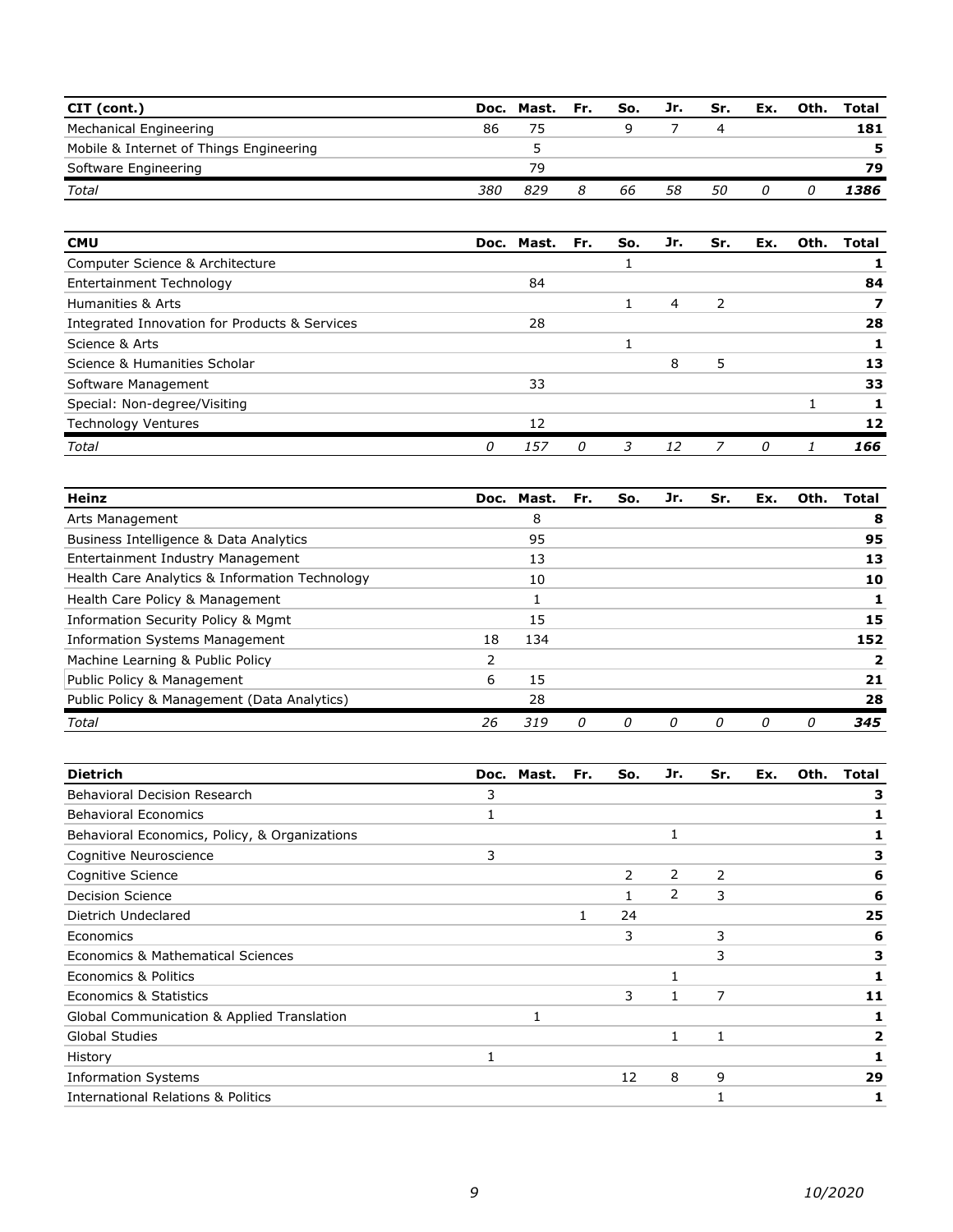| CIT (cont.)                             |     | Doc. Mast. | Fr. | So. | Jr. | Sr. | Ex. | Oth. | Total |
|-----------------------------------------|-----|------------|-----|-----|-----|-----|-----|------|-------|
| Mechanical Engineering                  | 86  |            |     |     |     |     |     |      | 181   |
| Mobile & Internet of Things Engineering |     |            |     |     |     |     |     |      | 5     |
| Software Engineering                    |     | 79         |     |     |     |     |     |      | 79    |
| Total                                   | 380 | 829        |     | 66  | 58  | 50  |     |      | 1386  |

| <b>CMU</b>                                    |   | Doc. Mast. | Fr. | So. | Jr. | Sr. | Ex. | Oth. | Total |
|-----------------------------------------------|---|------------|-----|-----|-----|-----|-----|------|-------|
| Computer Science & Architecture               |   |            |     |     |     |     |     |      |       |
| Entertainment Technology                      |   | 84         |     |     |     |     |     |      | 84    |
| Humanities & Arts                             |   |            |     |     | 4   | フ   |     |      |       |
| Integrated Innovation for Products & Services |   | 28         |     |     |     |     |     |      | 28    |
| Science & Arts                                |   |            |     |     |     |     |     |      |       |
| Science & Humanities Scholar                  |   |            |     |     | 8   | 5   |     |      | 13    |
| Software Management                           |   | 33         |     |     |     |     |     |      | 33    |
| Special: Non-degree/Visiting                  |   |            |     |     |     |     |     |      |       |
| Technology Ventures                           |   | 12         |     |     |     |     |     |      | 12    |
| Total                                         | 0 | 157        |     |     | 12  |     | n   |      | 166   |

| <b>Heinz</b>                                   | Doc. | Mast. | Fr. | So. | Jr. | Sr. | Ex. | Oth.     | Total |
|------------------------------------------------|------|-------|-----|-----|-----|-----|-----|----------|-------|
| Arts Management                                |      | 8     |     |     |     |     |     |          | 8     |
| Business Intelligence & Data Analytics         |      | 95    |     |     |     |     |     |          | 95    |
| Entertainment Industry Management              |      | 13    |     |     |     |     |     |          | 13    |
| Health Care Analytics & Information Technology |      | 10    |     |     |     |     |     |          | 10    |
| Health Care Policy & Management                |      |       |     |     |     |     |     |          |       |
| Information Security Policy & Mgmt             |      | 15    |     |     |     |     |     |          | 15    |
| <b>Information Systems Management</b>          | 18   | 134   |     |     |     |     |     |          | 152   |
| Machine Learning & Public Policy               |      |       |     |     |     |     |     |          |       |
| Public Policy & Management                     | 6    | 15    |     |     |     |     |     |          | 21    |
| Public Policy & Management (Data Analytics)    |      | 28    |     |     |     |     |     |          | 28    |
| Total                                          | 26   | 319   | 0   | 0   | O   | 0   | 0   | $\Omega$ | 345   |

| <b>Dietrich</b>                               |   | Doc. Mast. | Fr. | So.            | Jr. | Sr.            | Ex. | Oth. | Total |
|-----------------------------------------------|---|------------|-----|----------------|-----|----------------|-----|------|-------|
| <b>Behavioral Decision Research</b>           | 3 |            |     |                |     |                |     |      | з     |
| <b>Behavioral Economics</b>                   |   |            |     |                |     |                |     |      |       |
| Behavioral Economics, Policy, & Organizations |   |            |     |                | 1   |                |     |      |       |
| Cognitive Neuroscience                        | 3 |            |     |                |     |                |     |      |       |
| Cognitive Science                             |   |            |     | $\overline{2}$ | 2   | $\overline{2}$ |     |      | 6     |
| <b>Decision Science</b>                       |   |            |     |                | 2   | 3              |     |      | 6     |
| Dietrich Undeclared                           |   |            |     | 24             |     |                |     |      | 25    |
| Economics                                     |   |            |     | 3              |     | 3              |     |      | 6     |
| Economics & Mathematical Sciences             |   |            |     |                |     | 3              |     |      | з     |
| Economics & Politics                          |   |            |     |                |     |                |     |      |       |
| Economics & Statistics                        |   |            |     | 3              | 1   | 7              |     |      | 11    |
| Global Communication & Applied Translation    |   |            |     |                |     |                |     |      |       |
| <b>Global Studies</b>                         |   |            |     |                | 1   | 1              |     |      | 2     |
| History                                       |   |            |     |                |     |                |     |      |       |
| <b>Information Systems</b>                    |   |            |     | 12             | 8   | 9              |     |      | 29    |
| <b>International Relations &amp; Politics</b> |   |            |     |                |     |                |     |      |       |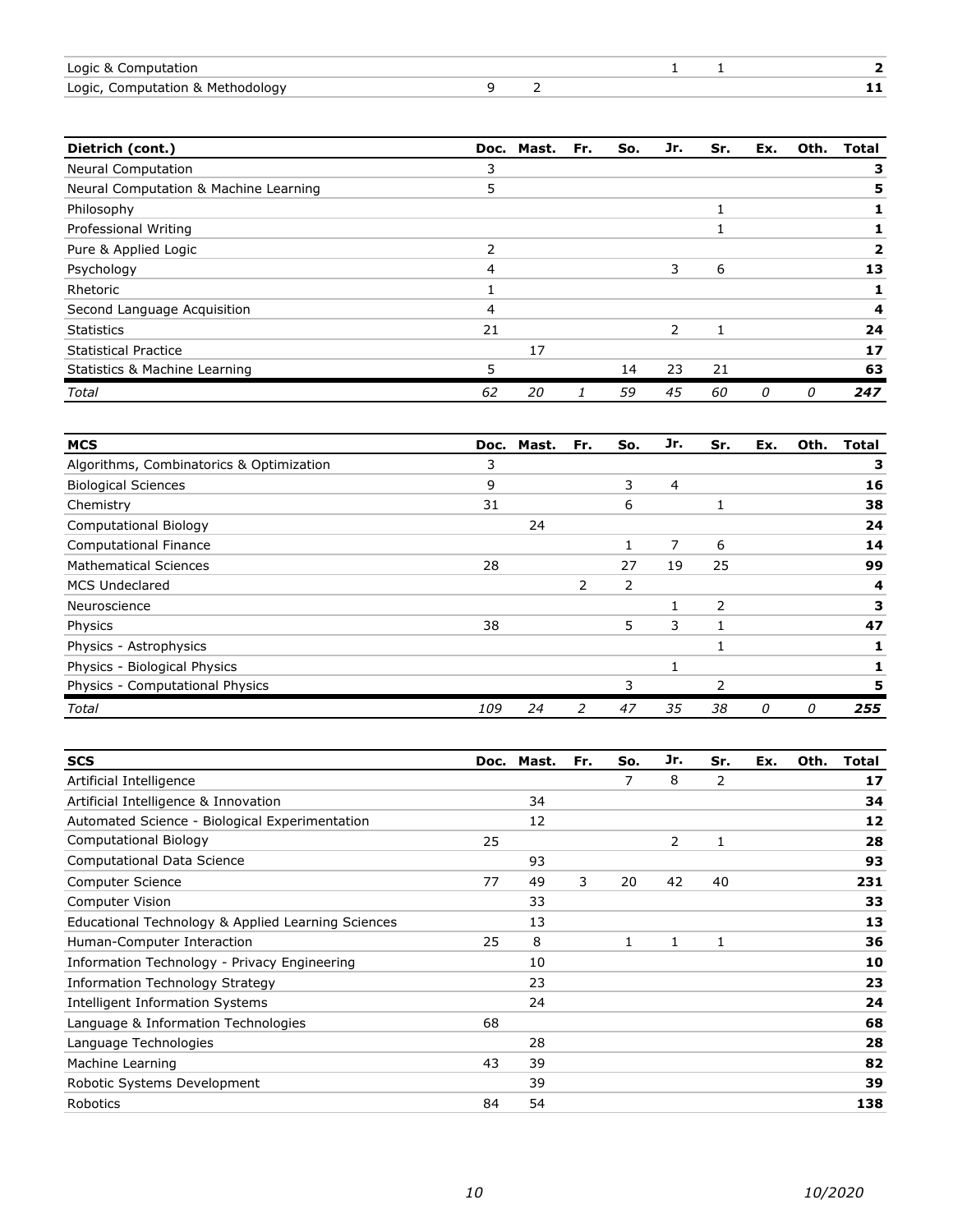| Logic & Computation              |  |  |  |
|----------------------------------|--|--|--|
| Logic, Computation & Methodology |  |  |  |

| Dietrich (cont.)                      |    | Doc. Mast. | Fr. | So. | Jr. | Sr.          | Ex. | Oth. | <b>Total</b> |
|---------------------------------------|----|------------|-----|-----|-----|--------------|-----|------|--------------|
| <b>Neural Computation</b>             | 3  |            |     |     |     |              |     |      |              |
| Neural Computation & Machine Learning | 5  |            |     |     |     |              |     |      |              |
| Philosophy                            |    |            |     |     |     |              |     |      |              |
| Professional Writing                  |    |            |     |     |     |              |     |      |              |
| Pure & Applied Logic                  | 2  |            |     |     |     |              |     |      |              |
| Psychology                            | 4  |            |     |     | 3   | 6            |     |      | 13           |
| Rhetoric                              |    |            |     |     |     |              |     |      |              |
| Second Language Acquisition           | 4  |            |     |     |     |              |     |      | 4            |
| <b>Statistics</b>                     | 21 |            |     |     | 2   | $\mathbf{1}$ |     |      | 24           |
| <b>Statistical Practice</b>           |    | 17         |     |     |     |              |     |      | 17           |
| Statistics & Machine Learning         | 5  |            |     | 14  | 23  | 21           |     |      | 63           |
| Total                                 | 62 | 20         |     | 59  | 45  | 60           | 0   | 0    | 247          |

| <b>MCS</b>                               |     | Doc. Mast. | Fr.           | So. | Jr. | Sr. | Ex. | Oth. | Total |
|------------------------------------------|-----|------------|---------------|-----|-----|-----|-----|------|-------|
| Algorithms, Combinatorics & Optimization | 3   |            |               |     |     |     |     |      | з     |
| <b>Biological Sciences</b>               | 9   |            |               | 3   | 4   |     |     |      | 16    |
| Chemistry                                | 31  |            |               | 6   |     |     |     |      | 38    |
| <b>Computational Biology</b>             |     | 24         |               |     |     |     |     |      | 24    |
| Computational Finance                    |     |            |               |     | 7   | 6   |     |      | 14    |
| <b>Mathematical Sciences</b>             | 28  |            |               | 27  | 19  | 25  |     |      | 99    |
| <b>MCS Undeclared</b>                    |     |            | $\mathcal{P}$ | 2   |     |     |     |      | 4     |
| Neuroscience                             |     |            |               |     |     | 2   |     |      |       |
| Physics                                  | 38  |            |               | 5   | 3   | 1   |     |      | 47    |
| Physics - Astrophysics                   |     |            |               |     |     |     |     |      |       |
| Physics - Biological Physics             |     |            |               |     |     |     |     |      |       |
| Physics - Computational Physics          |     |            |               | 3   |     | 2   |     |      |       |
| Total                                    | 109 | 24         | 2             | 47  | 35  | 38  | 0   | 0    | 255   |

| <b>SCS</b>                                         | Doc. | Mast. | Fr. | So.          | Jr. | Sr. | Ex. | Oth. | <b>Total</b> |
|----------------------------------------------------|------|-------|-----|--------------|-----|-----|-----|------|--------------|
| Artificial Intelligence                            |      |       |     | 7            | 8   | 2   |     |      | 17           |
| Artificial Intelligence & Innovation               |      | 34    |     |              |     |     |     |      | 34           |
| Automated Science - Biological Experimentation     |      | 12    |     |              |     |     |     |      | 12           |
| Computational Biology                              | 25   |       |     |              | 2   | 1   |     |      | 28           |
| Computational Data Science                         |      | 93    |     |              |     |     |     |      | 93           |
| <b>Computer Science</b>                            | 77   | 49    | 3   | 20           | 42  | 40  |     |      | 231          |
| Computer Vision                                    |      | 33    |     |              |     |     |     |      | 33           |
| Educational Technology & Applied Learning Sciences |      | 13    |     |              |     |     |     |      | 13           |
| Human-Computer Interaction                         | 25   | 8     |     | $\mathbf{1}$ | 1   | 1   |     |      | 36           |
| Information Technology - Privacy Engineering       |      | 10    |     |              |     |     |     |      | 10           |
| <b>Information Technology Strategy</b>             |      | 23    |     |              |     |     |     |      | 23           |
| <b>Intelligent Information Systems</b>             |      | 24    |     |              |     |     |     |      | 24           |
| Language & Information Technologies                | 68   |       |     |              |     |     |     |      | 68           |
| Language Technologies                              |      | 28    |     |              |     |     |     |      | 28           |
| Machine Learning                                   | 43   | 39    |     |              |     |     |     |      | 82           |
| Robotic Systems Development                        |      | 39    |     |              |     |     |     |      | 39           |
| Robotics                                           | 84   | 54    |     |              |     |     |     |      | 138          |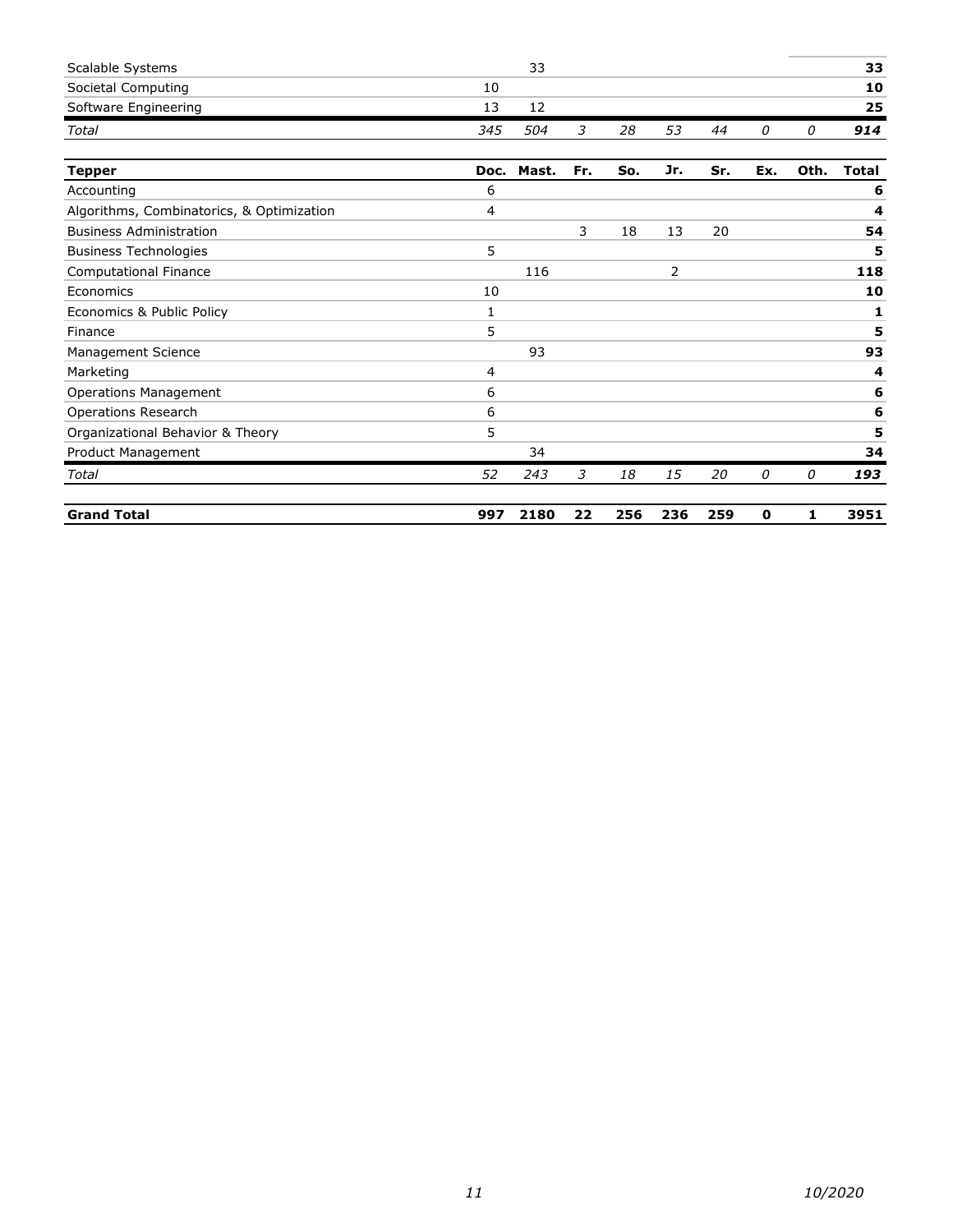| Scalable Systems                          |              | 33    |     |     |     |     |     |      | 33           |
|-------------------------------------------|--------------|-------|-----|-----|-----|-----|-----|------|--------------|
| Societal Computing                        | 10           |       |     |     |     |     |     |      | 10           |
|                                           |              |       |     |     |     |     |     |      |              |
| Software Engineering                      | 13           | 12    |     |     |     |     |     |      | 25           |
| Total                                     | 345          | 504   | 3   | 28  | 53  | 44  | 0   | 0    | 914          |
| <b>Tepper</b>                             | Doc.         | Mast. | Fr. | So. | Jr. | Sr. | Ex. | Oth. | <b>Total</b> |
| Accounting                                | 6            |       |     |     |     |     |     |      | 6            |
| Algorithms, Combinatorics, & Optimization | 4            |       |     |     |     |     |     |      | 4            |
| <b>Business Administration</b>            |              |       | 3   | 18  | 13  | 20  |     |      | 54           |
| <b>Business Technologies</b>              | 5            |       |     |     |     |     |     |      | 5            |
| Computational Finance                     |              | 116   |     |     | 2   |     |     |      | 118          |
| Economics                                 | 10           |       |     |     |     |     |     |      | 10           |
| Economics & Public Policy                 | $\mathbf{1}$ |       |     |     |     |     |     |      | 1            |
| Finance                                   | 5            |       |     |     |     |     |     |      | 5            |
| Management Science                        |              | 93    |     |     |     |     |     |      | 93           |
| Marketing                                 | 4            |       |     |     |     |     |     |      | 4            |
| <b>Operations Management</b>              | 6            |       |     |     |     |     |     |      | 6            |
| <b>Operations Research</b>                | 6            |       |     |     |     |     |     |      | 6            |
| Organizational Behavior & Theory          | 5            |       |     |     |     |     |     |      | 5            |
| Product Management                        |              | 34    |     |     |     |     |     |      | 34           |
| Total                                     | 52           | 243   | 3   | 18  | 15  | 20  | 0   | 0    | 193          |
| <b>Grand Total</b>                        | 997          | 2180  | 22  | 256 | 236 | 259 | 0   | 1    | 3951         |